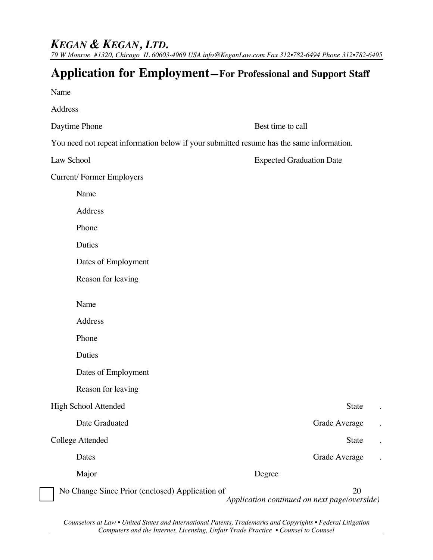## *KEGAN & KEGAN, LTD.*

*79 W Monroe #1320, Chicago IL 60603-4969 USA info@KeganLaw.com Fax 312•782-6494 Phone 312•782-6495*

## **Application for Employment—For Professional and Support Staff**

| Name                                            |                                                                                          |  |
|-------------------------------------------------|------------------------------------------------------------------------------------------|--|
| Address                                         |                                                                                          |  |
| Daytime Phone                                   | Best time to call                                                                        |  |
|                                                 | You need not repeat information below if your submitted resume has the same information. |  |
| Law School                                      | <b>Expected Graduation Date</b>                                                          |  |
| Current/Former Employers                        |                                                                                          |  |
| Name                                            |                                                                                          |  |
| Address                                         |                                                                                          |  |
| Phone                                           |                                                                                          |  |
| Duties                                          |                                                                                          |  |
| Dates of Employment                             |                                                                                          |  |
| Reason for leaving                              |                                                                                          |  |
| Name                                            |                                                                                          |  |
| Address                                         |                                                                                          |  |
| Phone                                           |                                                                                          |  |
| Duties                                          |                                                                                          |  |
| Dates of Employment                             |                                                                                          |  |
| Reason for leaving                              |                                                                                          |  |
| High School Attended                            | State                                                                                    |  |
| Date Graduated                                  | Grade Average                                                                            |  |
| College Attended                                | State                                                                                    |  |
| Dates                                           | Grade Average                                                                            |  |
| Major                                           | Degree                                                                                   |  |
| No Change Since Prior (enclosed) Application of | 20<br>Application continued on next page/overside)                                       |  |

*Counselors at Law • United States and International Patents, Trademarks and Copyrights • Federal Litigation Computers and the Internet, Licensing, Unfair Trade Practice • Counsel to Counsel*